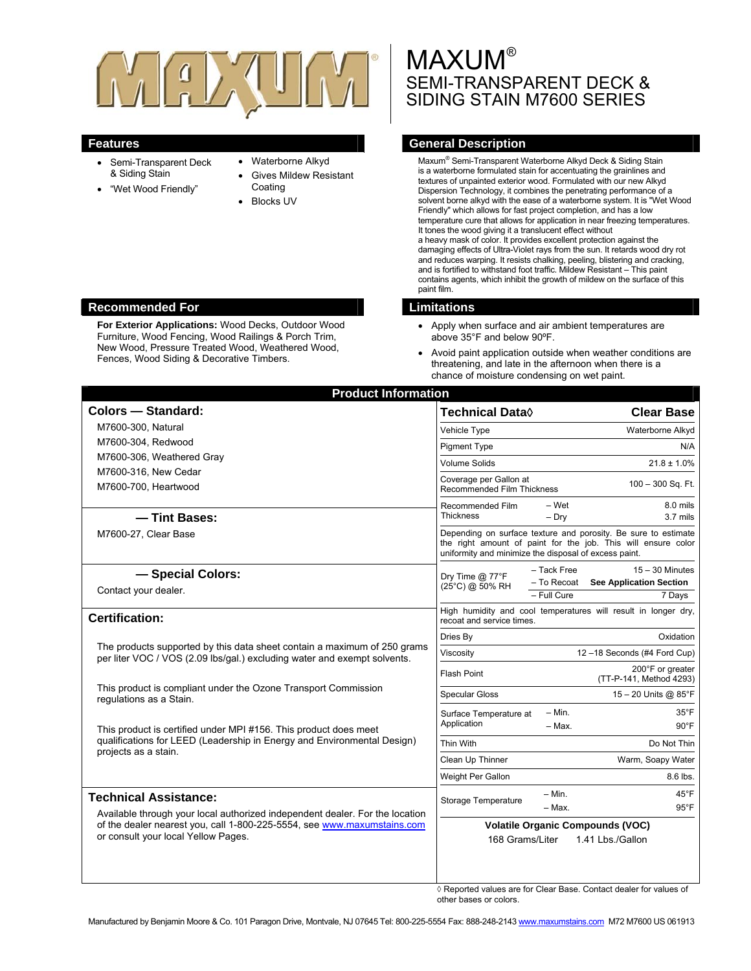

- Semi-Transparent Deck & Siding Stain
- "Wet Wood Friendly"
- Waterborne Alkyd
- Gives Mildew Resistant Coating
- Blocks UV

# **MAXUM®** SEMI-TRANSPARENT DECK & SIDING STAIN M7600 SERIES

# **Features General Description**

Maxum<sup>®</sup> Semi-Transparent Waterborne Alkyd Deck & Siding Stain is a waterborne formulated stain for accentuating the grainlines and textures of unpainted exterior wood. Formulated with our new Alkyd Dispersion Technology, it combines the penetrating performance of a solvent borne alkyd with the ease of a waterborne system. It is "Wet Wood Friendly" which allows for fast project completion, and has a low temperature cure that allows for application in near freezing temperatures. It tones the wood giving it a translucent effect without a heavy mask of color. It provides excellent protection against the damaging effects of Ultra-Violet rays from the sun. It retards wood dry rot and reduces warping. It resists chalking, peeling, blistering and cracking, and is fortified to withstand foot traffic. Mildew Resistant – This paint contains agents, which inhibit the growth of mildew on the surface of this paint film.

- Apply when surface and air ambient temperatures are above 35°F and below 90ºF.
- Avoid paint application outside when weather conditions are threatening, and late in the afternoon when there is a chance of moisture condensing on wet paint.

| <b>Product Information</b>                                                                                                                                                                                                     |                                                                                                                                                                                          |                            |                                                                          |
|--------------------------------------------------------------------------------------------------------------------------------------------------------------------------------------------------------------------------------|------------------------------------------------------------------------------------------------------------------------------------------------------------------------------------------|----------------------------|--------------------------------------------------------------------------|
| <b>Colors - Standard:</b>                                                                                                                                                                                                      | <b>Technical Data</b> ♦                                                                                                                                                                  |                            | <b>Clear Base</b>                                                        |
| M7600-300, Natural                                                                                                                                                                                                             | Vehicle Type                                                                                                                                                                             |                            | Waterborne Alkyd                                                         |
| M7600-304, Redwood                                                                                                                                                                                                             | <b>Pigment Type</b>                                                                                                                                                                      |                            | N/A                                                                      |
| M7600-306, Weathered Gray                                                                                                                                                                                                      | <b>Volume Solids</b>                                                                                                                                                                     |                            | $21.8 \pm 1.0\%$                                                         |
| M7600-316, New Cedar<br>M7600-700, Heartwood                                                                                                                                                                                   | Coverage per Gallon at<br><b>Recommended Film Thickness</b>                                                                                                                              |                            | 100 - 300 Sq. Ft.                                                        |
| -Tint Bases:                                                                                                                                                                                                                   | Recommended Film<br><b>Thickness</b>                                                                                                                                                     | - Wet<br>$-$ Drv           | 8.0 mils<br>3.7 mils                                                     |
| M7600-27, Clear Base                                                                                                                                                                                                           | Depending on surface texture and porosity. Be sure to estimate<br>the right amount of paint for the job. This will ensure color<br>uniformity and minimize the disposal of excess paint. |                            |                                                                          |
| - Special Colors:<br>Contact your dealer.                                                                                                                                                                                      | Dry Time $@$ 77 ${}^{\circ}$ F<br>(25°C) @ 50% RH                                                                                                                                        | - Tack Free<br>- To Recoat | $15 - 30$ Minutes<br><b>See Application Section</b>                      |
|                                                                                                                                                                                                                                |                                                                                                                                                                                          | $-$ Full Cure              | 7 Days                                                                   |
| <b>Certification:</b>                                                                                                                                                                                                          | recoat and service times.                                                                                                                                                                |                            | High humidity and cool temperatures will result in longer dry,           |
|                                                                                                                                                                                                                                | Dries By                                                                                                                                                                                 |                            | Oxidation                                                                |
| The products supported by this data sheet contain a maximum of 250 grams<br>per liter VOC / VOS (2.09 lbs/gal.) excluding water and exempt solvents.                                                                           | Viscosity                                                                                                                                                                                |                            | 12-18 Seconds (#4 Ford Cup)                                              |
|                                                                                                                                                                                                                                | <b>Flash Point</b>                                                                                                                                                                       |                            | 200°F or greater<br>(TT-P-141, Method 4293)                              |
| This product is compliant under the Ozone Transport Commission<br>regulations as a Stain.                                                                                                                                      | <b>Specular Gloss</b>                                                                                                                                                                    |                            | 15 - 20 Units @ 85°F                                                     |
| This product is certified under MPI #156. This product does meet<br>qualifications for LEED (Leadership in Energy and Environmental Design)<br>projects as a stain.                                                            | Surface Temperature at<br>Application                                                                                                                                                    | $- Min.$<br>- Max.         | $35^{\circ}$ F<br>$90^{\circ}$ F                                         |
|                                                                                                                                                                                                                                | Thin With                                                                                                                                                                                |                            | Do Not Thin                                                              |
|                                                                                                                                                                                                                                | Clean Up Thinner                                                                                                                                                                         |                            | Warm, Soapy Water                                                        |
|                                                                                                                                                                                                                                | Weight Per Gallon                                                                                                                                                                        |                            | 8.6 lbs.                                                                 |
| <b>Technical Assistance:</b><br>Available through your local authorized independent dealer. For the location<br>of the dealer nearest you, call 1-800-225-5554, see www.maxumstains.com<br>or consult your local Yellow Pages. | Storage Temperature                                                                                                                                                                      | $- Min.$<br>$-$ Max.       | $45^{\circ}$ F<br>$95^{\circ}$ F                                         |
|                                                                                                                                                                                                                                | <b>Volatile Organic Compounds (VOC)</b><br>168 Grams/Liter<br>1.41 Lbs./Gallon                                                                                                           |                            |                                                                          |
|                                                                                                                                                                                                                                |                                                                                                                                                                                          |                            | $\land$ Benetted values are for Clear Base. Contact dealer for values of |

◊ Reported values are for Clear Base. Contact dealer for values of other bases or colors.

#### **Recommended For Limitations Limitations**

**For Exterior Applications:** Wood Decks, Outdoor Wood Furniture, Wood Fencing, Wood Railings & Porch Trim, New Wood, Pressure Treated Wood, Weathered Wood, Fences, Wood Siding & Decorative Timbers.